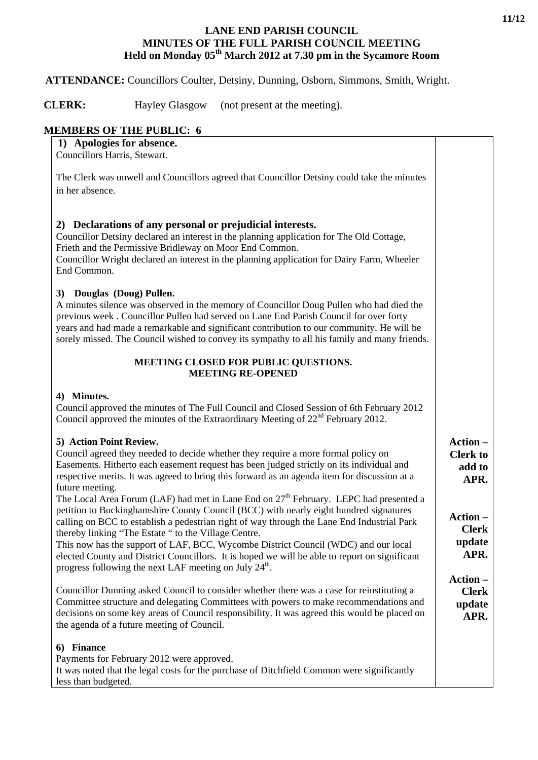## **LANE END PARISH COUNCIL MINUTES OF THE FULL PARISH COUNCIL MEETING Held on Monday 05th March 2012 at 7.30 pm in the Sycamore Room**

# **ATTENDANCE:** Councillors Coulter, Detsiny, Dunning, Osborn, Simmons, Smith, Wright.

**CLERK:** Hayley Glasgow (not present at the meeting).

# **MEMBERS OF THE PUBLIC: 6**

|  |  | 1) Apologies for absence. |
|--|--|---------------------------|
|  |  |                           |

Councillors Harris, Stewart.

The Clerk was unwell and Councillors agreed that Councillor Detsiny could take the minutes in her absence.

## **2) Declarations of any personal or prejudicial interests.**

Councillor Detsiny declared an interest in the planning application for The Old Cottage, Frieth and the Permissive Bridleway on Moor End Common.

Councillor Wright declared an interest in the planning application for Dairy Farm, Wheeler End Common.

## **3) Douglas (Doug) Pullen.**

A minutes silence was observed in the memory of Councillor Doug Pullen who had died the previous week . Councillor Pullen had served on Lane End Parish Council for over forty years and had made a remarkable and significant contribution to our community. He will be sorely missed. The Council wished to convey its sympathy to all his family and many friends.

#### **MEETING CLOSED FOR PUBLIC QUESTIONS. MEETING RE-OPENED**

#### **4) Minutes.**

Council approved the minutes of The Full Council and Closed Session of 6th February 2012 Council approved the minutes of the Extraordinary Meeting of  $22<sup>nd</sup>$  February 2012.

#### **5) Action Point Review.**

Council agreed they needed to decide whether they require a more formal policy on Easements. Hitherto each easement request has been judged strictly on its individual and respective merits. It was agreed to bring this forward as an agenda item for discussion at a future meeting.

The Local Area Forum (LAF) had met in Lane End on  $27<sup>th</sup>$  February. LEPC had presented a petition to Buckinghamshire County Council (BCC) with nearly eight hundred signatures calling on BCC to establish a pedestrian right of way through the Lane End Industrial Park thereby linking "The Estate " to the Village Centre.

This now has the support of LAF, BCC, Wycombe District Council (WDC) and our local elected County and District Councillors. It is hoped we will be able to report on significant progress following the next LAF meeting on July  $24<sup>th</sup>$ .

Councillor Dunning asked Council to consider whether there was a case for reinstituting a Committee structure and delegating Committees with powers to make recommendations and decisions on some key areas of Council responsibility. It was agreed this would be placed on the agenda of a future meeting of Council.

#### **6) Finance**

Payments for February 2012 were approved.

It was noted that the legal costs for the purchase of Ditchfield Common were significantly less than budgeted.

# **Action – Clerk to add to**

**APR.**

**Action – Clerk update APR.**

**Action – Clerk update APR.**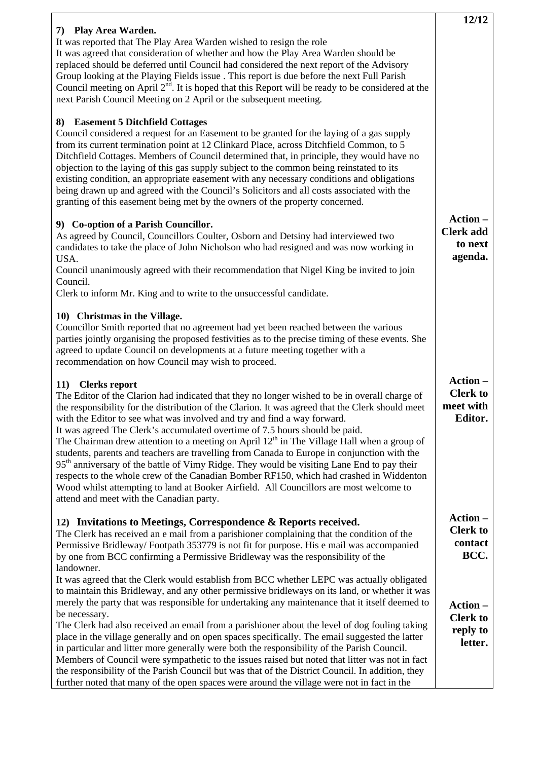|                                                                                                                                                                                                                                                                                                                                                                                                                                                                                                                                                                                                                                                                                                                                                                                                                                                                                                                                       | 12/12                                                      |
|---------------------------------------------------------------------------------------------------------------------------------------------------------------------------------------------------------------------------------------------------------------------------------------------------------------------------------------------------------------------------------------------------------------------------------------------------------------------------------------------------------------------------------------------------------------------------------------------------------------------------------------------------------------------------------------------------------------------------------------------------------------------------------------------------------------------------------------------------------------------------------------------------------------------------------------|------------------------------------------------------------|
| 7) Play Area Warden.<br>It was reported that The Play Area Warden wished to resign the role<br>It was agreed that consideration of whether and how the Play Area Warden should be<br>replaced should be deferred until Council had considered the next report of the Advisory<br>Group looking at the Playing Fields issue . This report is due before the next Full Parish<br>Council meeting on April $2^{nd}$ . It is hoped that this Report will be ready to be considered at the<br>next Parish Council Meeting on 2 April or the subsequent meeting.                                                                                                                                                                                                                                                                                                                                                                            |                                                            |
| 8) Easement 5 Ditchfield Cottages<br>Council considered a request for an Easement to be granted for the laying of a gas supply<br>from its current termination point at 12 Clinkard Place, across Ditchfield Common, to 5<br>Ditchfield Cottages. Members of Council determined that, in principle, they would have no<br>objection to the laying of this gas supply subject to the common being reinstated to its<br>existing condition, an appropriate easement with any necessary conditions and obligations<br>being drawn up and agreed with the Council's Solicitors and all costs associated with the<br>granting of this easement being met by the owners of the property concerned.                                                                                                                                                                                                                                          |                                                            |
| 9) Co-option of a Parish Councillor.<br>As agreed by Council, Councillors Coulter, Osborn and Detsiny had interviewed two<br>candidates to take the place of John Nicholson who had resigned and was now working in<br>USA.<br>Council unanimously agreed with their recommendation that Nigel King be invited to join<br>Council.<br>Clerk to inform Mr. King and to write to the unsuccessful candidate.                                                                                                                                                                                                                                                                                                                                                                                                                                                                                                                            | Action-<br><b>Clerk add</b><br>to next<br>agenda.          |
| 10) Christmas in the Village.<br>Councillor Smith reported that no agreement had yet been reached between the various<br>parties jointly organising the proposed festivities as to the precise timing of these events. She<br>agreed to update Council on developments at a future meeting together with a<br>recommendation on how Council may wish to proceed.                                                                                                                                                                                                                                                                                                                                                                                                                                                                                                                                                                      |                                                            |
| 11) Clerks report<br>The Editor of the Clarion had indicated that they no longer wished to be in overall charge of<br>the responsibility for the distribution of the Clarion. It was agreed that the Clerk should meet<br>with the Editor to see what was involved and try and find a way forward.<br>It was agreed The Clerk's accumulated overtime of 7.5 hours should be paid.<br>The Chairman drew attention to a meeting on April 12 <sup>th</sup> in The Village Hall when a group of<br>students, parents and teachers are travelling from Canada to Europe in conjunction with the<br>95 <sup>th</sup> anniversary of the battle of Vimy Ridge. They would be visiting Lane End to pay their<br>respects to the whole crew of the Canadian Bomber RF150, which had crashed in Widdenton<br>Wood whilst attempting to land at Booker Airfield. All Councillors are most welcome to<br>attend and meet with the Canadian party. | Action -<br><b>Clerk to</b><br>meet with<br><b>Editor.</b> |
| 12) Invitations to Meetings, Correspondence & Reports received.<br>The Clerk has received an e mail from a parishioner complaining that the condition of the<br>Permissive Bridleway/Footpath 353779 is not fit for purpose. His e mail was accompanied<br>by one from BCC confirming a Permissive Bridleway was the responsibility of the<br>landowner.<br>It was agreed that the Clerk would establish from BCC whether LEPC was actually obligated                                                                                                                                                                                                                                                                                                                                                                                                                                                                                 | Action-<br><b>Clerk to</b><br>contact<br>BCC.              |
| to maintain this Bridleway, and any other permissive bridleways on its land, or whether it was<br>merely the party that was responsible for undertaking any maintenance that it itself deemed to<br>be necessary.<br>The Clerk had also received an email from a parishioner about the level of dog fouling taking<br>place in the village generally and on open spaces specifically. The email suggested the latter<br>in particular and litter more generally were both the responsibility of the Parish Council.<br>Members of Council were sympathetic to the issues raised but noted that litter was not in fact<br>the responsibility of the Parish Council but was that of the District Council. In addition, they<br>further noted that many of the open spaces were around the village were not in fact in the                                                                                                               | Action-<br><b>Clerk to</b><br>reply to<br>letter.          |